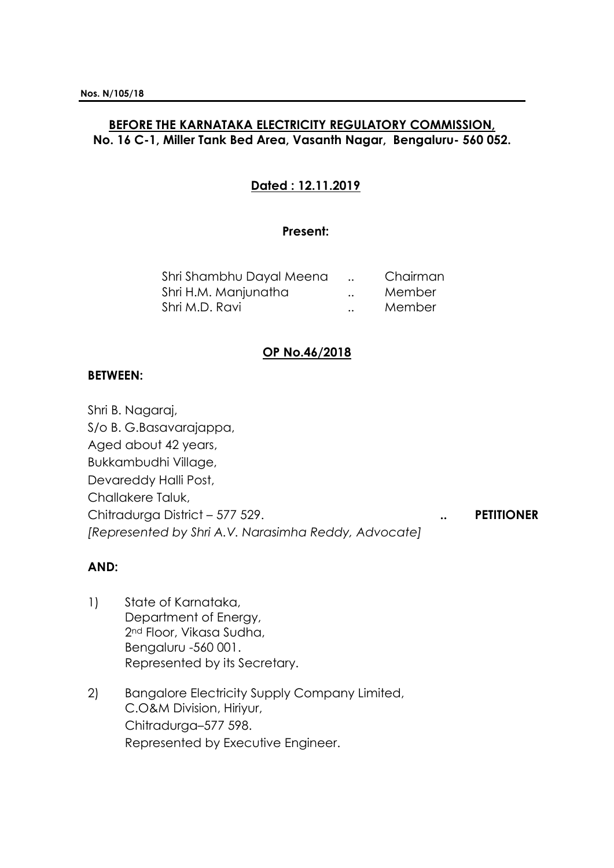# **BEFORE THE KARNATAKA ELECTRICITY REGULATORY COMMISSION, No. 16 C-1, Miller Tank Bed Area, Vasanth Nagar, Bengaluru- 560 052.**

# **Dated : 12.11.2019**

#### **Present:**

| Shri Shambhu Dayal Meena |                      | Chairman |
|--------------------------|----------------------|----------|
| Shri H.M. Manjunatha     | $\ddot{\phantom{0}}$ | Member   |
| Shri M.D. Ravi           |                      | Member   |

### **OP No.46/2018**

#### **BETWEEN:**

Shri B. Nagaraj, S/o B. G.Basavarajappa, Aged about 42 years, Bukkambudhi Village, Devareddy Halli Post, Challakere Taluk, Chitradurga District – 577 529. **.. PETITIONER** *[Represented by Shri A.V. Narasimha Reddy, Advocate]*

## **AND:**

- 1) State of Karnataka, Department of Energy, 2nd Floor, Vikasa Sudha, Bengaluru -560 001. Represented by its Secretary.
- 2) Bangalore Electricity Supply Company Limited, C.O&M Division, Hiriyur, Chitradurga–577 598. Represented by Executive Engineer.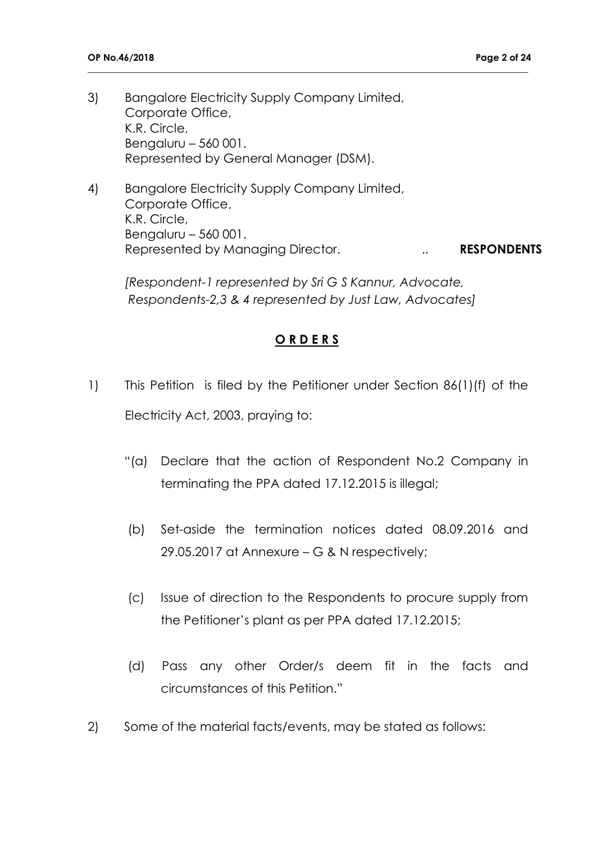- 3) Bangalore Electricity Supply Company Limited, Corporate Office, K.R. Circle, Bengaluru – 560 001. Represented by General Manager (DSM).
- 4) Bangalore Electricity Supply Company Limited, Corporate Office, K.R. Circle, Bengaluru – 560 001. Represented by Managing Director. **... RESPONDENTS**

**\_\_\_\_\_\_\_\_\_\_\_\_\_\_\_\_\_\_\_\_\_\_\_\_\_\_\_\_\_\_\_\_\_\_\_\_\_\_\_\_\_\_\_\_\_\_\_\_\_\_\_\_\_\_\_\_\_\_\_\_\_\_\_\_\_\_\_\_\_\_\_\_\_\_\_\_\_\_\_\_\_\_\_\_\_\_\_\_\_\_\_\_\_\_\_**

*[Respondent-1 represented by Sri G S Kannur, Advocate, Respondents-2,3 & 4 represented by Just Law, Advocates]*

### **O R D E R S**

- 1) This Petition is filed by the Petitioner under Section 86(1)(f) of the Electricity Act, 2003, praying to:
	- "(a) Declare that the action of Respondent No.2 Company in terminating the PPA dated 17.12.2015 is illegal;
	- (b) Set-aside the termination notices dated 08.09.2016 and 29.05.2017 at Annexure – G & N respectively;
	- (c) Issue of direction to the Respondents to procure supply from the Petitioner's plant as per PPA dated 17.12.2015;
	- (d) Pass any other Order/s deem fit in the facts and circumstances of this Petition."
- 2) Some of the material facts/events, may be stated as follows: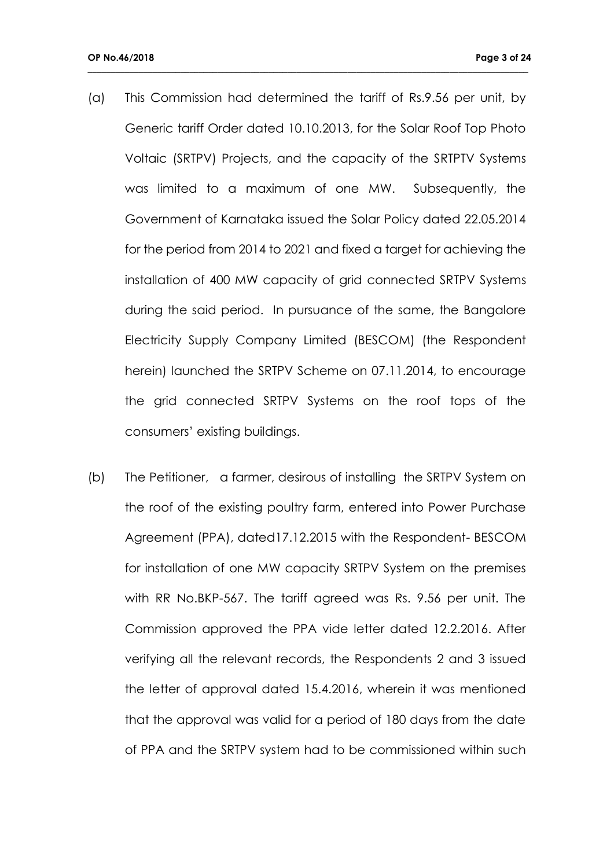(a) This Commission had determined the tariff of Rs.9.56 per unit, by Generic tariff Order dated 10.10.2013, for the Solar Roof Top Photo Voltaic (SRTPV) Projects, and the capacity of the SRTPTV Systems was limited to a maximum of one MW. Subsequently, the Government of Karnataka issued the Solar Policy dated 22.05.2014 for the period from 2014 to 2021 and fixed a target for achieving the installation of 400 MW capacity of grid connected SRTPV Systems during the said period. In pursuance of the same, the Bangalore Electricity Supply Company Limited (BESCOM) (the Respondent herein) launched the SRTPV Scheme on 07.11.2014, to encourage the grid connected SRTPV Systems on the roof tops of the consumers' existing buildings.

**\_\_\_\_\_\_\_\_\_\_\_\_\_\_\_\_\_\_\_\_\_\_\_\_\_\_\_\_\_\_\_\_\_\_\_\_\_\_\_\_\_\_\_\_\_\_\_\_\_\_\_\_\_\_\_\_\_\_\_\_\_\_\_\_\_\_\_\_\_\_\_\_\_\_\_\_\_\_\_\_\_\_\_\_\_\_\_\_\_\_\_\_\_\_\_**

(b) The Petitioner, a farmer, desirous of installing the SRTPV System on the roof of the existing poultry farm, entered into Power Purchase Agreement (PPA), dated17.12.2015 with the Respondent- BESCOM for installation of one MW capacity SRTPV System on the premises with RR No.BKP-567. The tariff agreed was Rs. 9.56 per unit. The Commission approved the PPA vide letter dated 12.2.2016. After verifying all the relevant records, the Respondents 2 and 3 issued the letter of approval dated 15.4.2016, wherein it was mentioned that the approval was valid for a period of 180 days from the date of PPA and the SRTPV system had to be commissioned within such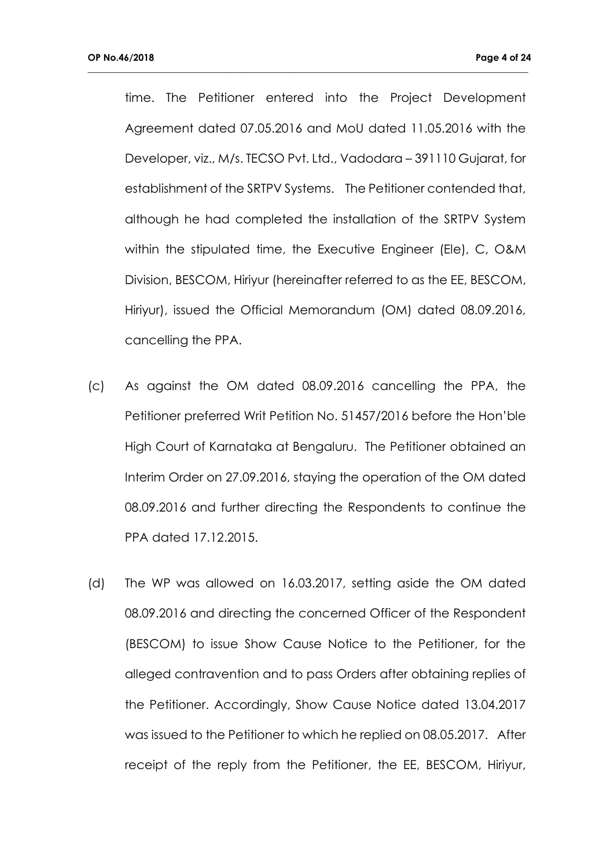time. The Petitioner entered into the Project Development Agreement dated 07.05.2016 and MoU dated 11.05.2016 with the Developer, viz., M/s. TECSO Pvt. Ltd., Vadodara – 391110 Gujarat, for establishment of the SRTPV Systems. The Petitioner contended that, although he had completed the installation of the SRTPV System within the stipulated time, the Executive Engineer (Ele), C, O&M Division, BESCOM, Hiriyur (hereinafter referred to as the EE, BESCOM, Hiriyur), issued the Official Memorandum (OM) dated 08.09.2016, cancelling the PPA.

- (c) As against the OM dated 08.09.2016 cancelling the PPA, the Petitioner preferred Writ Petition No. 51457/2016 before the Hon'ble High Court of Karnataka at Bengaluru. The Petitioner obtained an Interim Order on 27.09.2016, staying the operation of the OM dated 08.09.2016 and further directing the Respondents to continue the PPA dated 17.12.2015.
- (d) The WP was allowed on 16.03.2017, setting aside the OM dated 08.09.2016 and directing the concerned Officer of the Respondent (BESCOM) to issue Show Cause Notice to the Petitioner, for the alleged contravention and to pass Orders after obtaining replies of the Petitioner. Accordingly, Show Cause Notice dated 13.04.2017 was issued to the Petitioner to which he replied on 08.05.2017. After receipt of the reply from the Petitioner, the EE, BESCOM, Hiriyur,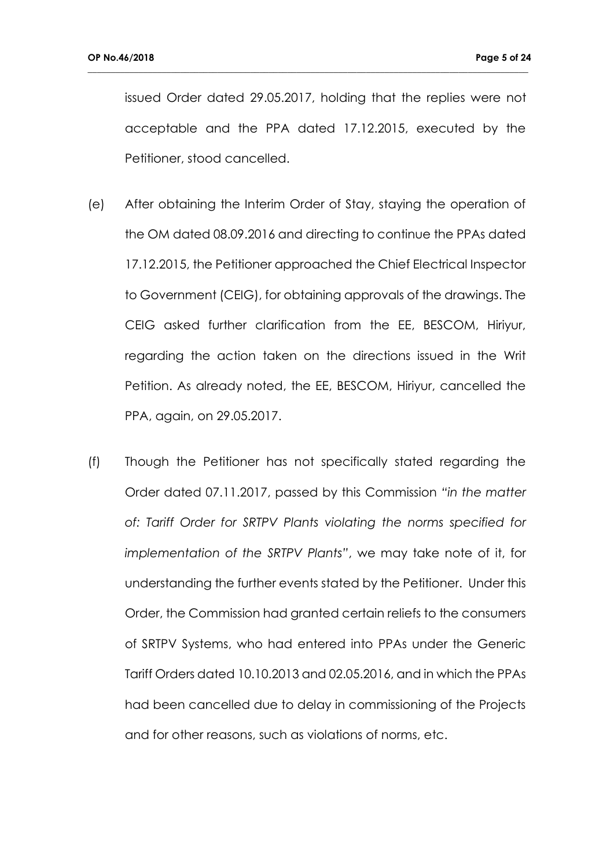issued Order dated 29.05.2017, holding that the replies were not acceptable and the PPA dated 17.12.2015, executed by the Petitioner, stood cancelled.

- (e) After obtaining the Interim Order of Stay, staying the operation of the OM dated 08.09.2016 and directing to continue the PPAs dated 17.12.2015, the Petitioner approached the Chief Electrical Inspector to Government (CEIG), for obtaining approvals of the drawings. The CEIG asked further clarification from the EE, BESCOM, Hiriyur, regarding the action taken on the directions issued in the Writ Petition. As already noted, the EE, BESCOM, Hiriyur, cancelled the PPA, again, on 29.05.2017.
- (f) Though the Petitioner has not specifically stated regarding the Order dated 07.11.2017, passed by this Commission *"in the matter of: Tariff Order for SRTPV Plants violating the norms specified for implementation of the SRTPV Plants"*, we may take note of it, for understanding the further events stated by the Petitioner. Under this Order, the Commission had granted certain reliefs to the consumers of SRTPV Systems, who had entered into PPAs under the Generic Tariff Orders dated 10.10.2013 and 02.05.2016, and in which the PPAs had been cancelled due to delay in commissioning of the Projects and for other reasons, such as violations of norms, etc.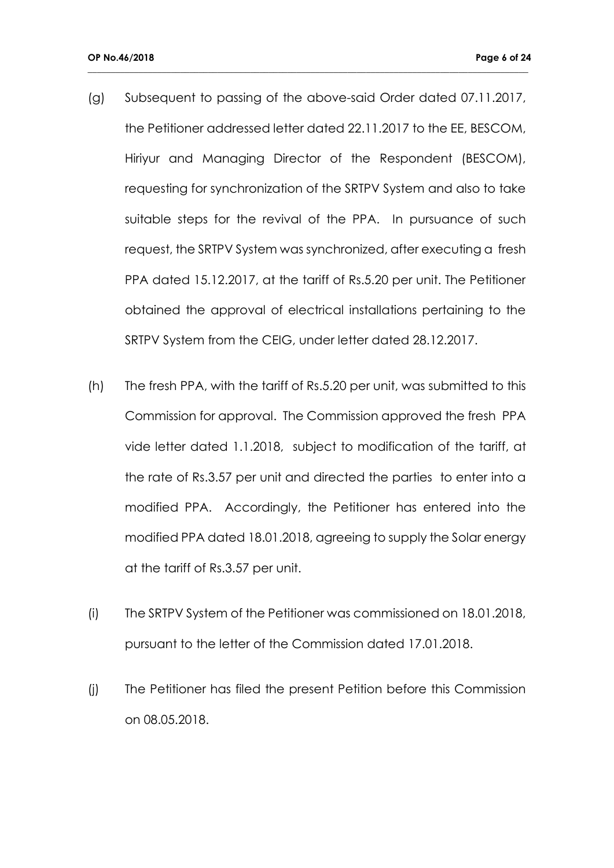(g) Subsequent to passing of the above-said Order dated 07.11.2017, the Petitioner addressed letter dated 22.11.2017 to the EE, BESCOM, Hiriyur and Managing Director of the Respondent (BESCOM), requesting for synchronization of the SRTPV System and also to take suitable steps for the revival of the PPA. In pursuance of such request, the SRTPV System was synchronized, after executing a fresh PPA dated 15.12.2017, at the tariff of Rs.5.20 per unit. The Petitioner obtained the approval of electrical installations pertaining to the SRTPV System from the CEIG, under letter dated 28.12.2017.

- (h) The fresh PPA, with the tariff of Rs.5.20 per unit, was submitted to this Commission for approval. The Commission approved the fresh PPA vide letter dated 1.1.2018, subject to modification of the tariff, at the rate of Rs.3.57 per unit and directed the parties to enter into a modified PPA. Accordingly, the Petitioner has entered into the modified PPA dated 18.01.2018, agreeing to supply the Solar energy at the tariff of Rs.3.57 per unit.
- (i) The SRTPV System of the Petitioner was commissioned on 18.01.2018, pursuant to the letter of the Commission dated 17.01.2018.
- (j) The Petitioner has filed the present Petition before this Commission on 08.05.2018.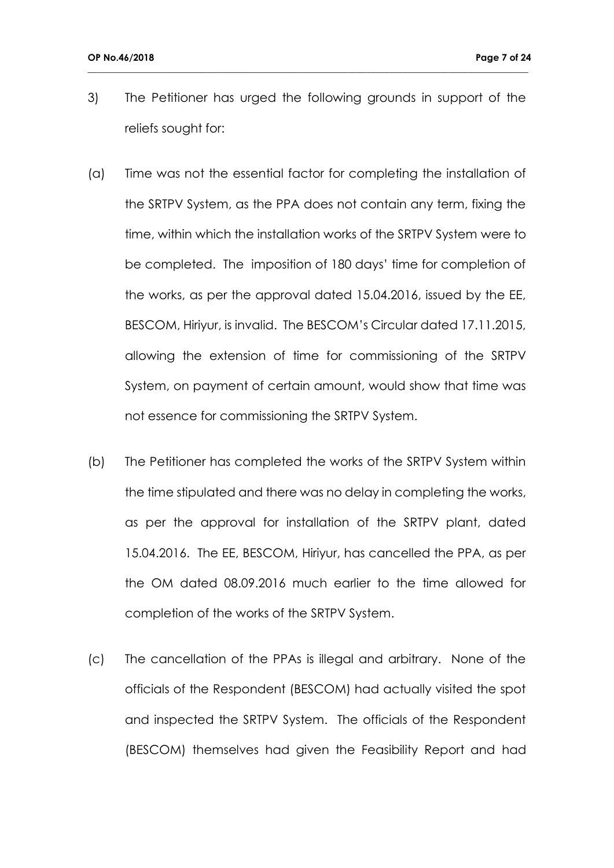3) The Petitioner has urged the following grounds in support of the reliefs sought for:

- (a) Time was not the essential factor for completing the installation of the SRTPV System, as the PPA does not contain any term, fixing the time, within which the installation works of the SRTPV System were to be completed. The imposition of 180 days' time for completion of the works, as per the approval dated 15.04.2016, issued by the EE, BESCOM, Hiriyur, is invalid. The BESCOM's Circular dated 17.11.2015, allowing the extension of time for commissioning of the SRTPV System, on payment of certain amount, would show that time was not essence for commissioning the SRTPV System.
- (b) The Petitioner has completed the works of the SRTPV System within the time stipulated and there was no delay in completing the works, as per the approval for installation of the SRTPV plant, dated 15.04.2016. The EE, BESCOM, Hiriyur, has cancelled the PPA, as per the OM dated 08.09.2016 much earlier to the time allowed for completion of the works of the SRTPV System.
- (c) The cancellation of the PPAs is illegal and arbitrary. None of the officials of the Respondent (BESCOM) had actually visited the spot and inspected the SRTPV System. The officials of the Respondent (BESCOM) themselves had given the Feasibility Report and had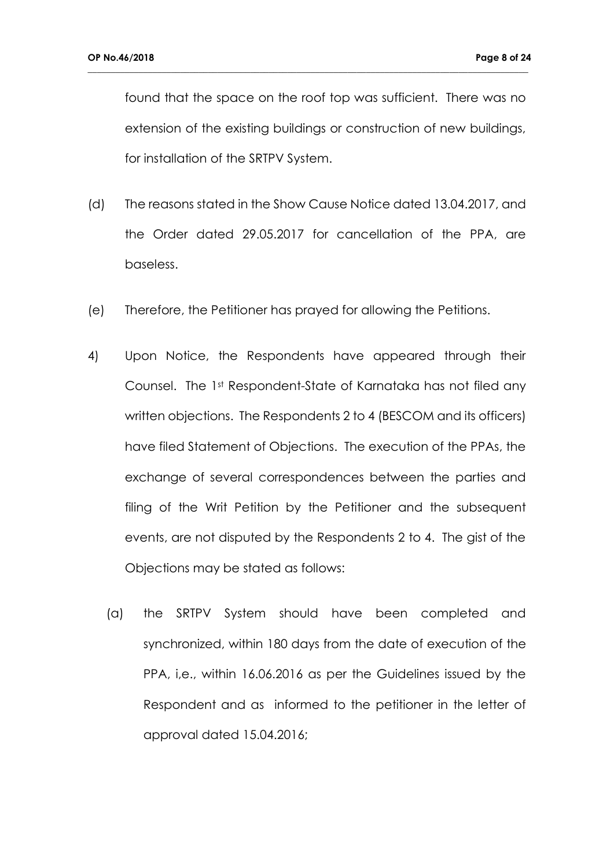found that the space on the roof top was sufficient. There was no extension of the existing buildings or construction of new buildings, for installation of the SRTPV System.

- (d) The reasons stated in the Show Cause Notice dated 13.04.2017, and the Order dated 29.05.2017 for cancellation of the PPA, are baseless.
- (e) Therefore, the Petitioner has prayed for allowing the Petitions.
- 4) Upon Notice, the Respondents have appeared through their Counsel. The 1st Respondent-State of Karnataka has not filed any written objections. The Respondents 2 to 4 (BESCOM and its officers) have filed Statement of Objections. The execution of the PPAs, the exchange of several correspondences between the parties and filing of the Writ Petition by the Petitioner and the subsequent events, are not disputed by the Respondents 2 to 4. The gist of the Objections may be stated as follows:
	- (a) the SRTPV System should have been completed and synchronized, within 180 days from the date of execution of the PPA, i,e., within 16.06.2016 as per the Guidelines issued by the Respondent and as informed to the petitioner in the letter of approval dated 15.04.2016;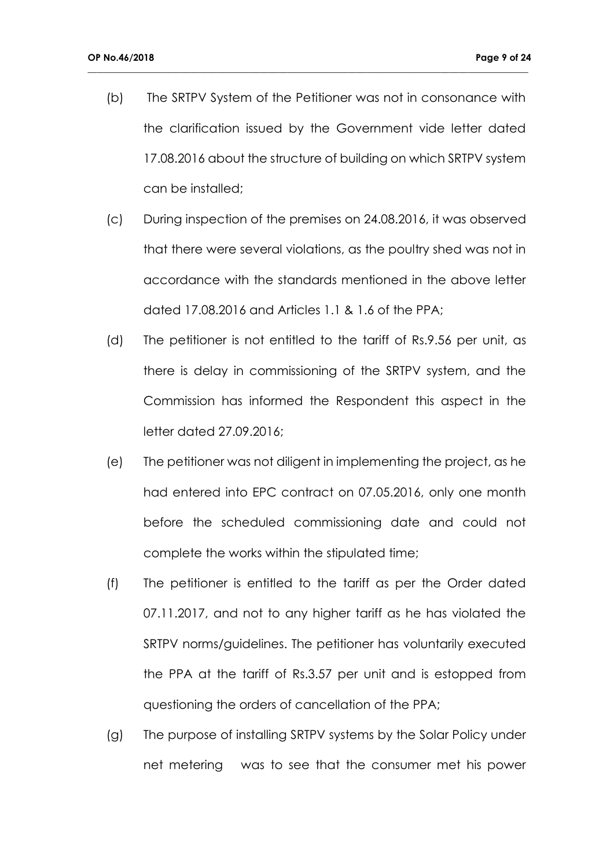(b) The SRTPV System of the Petitioner was not in consonance with the clarification issued by the Government vide letter dated 17.08.2016 about the structure of building on which SRTPV system can be installed;

- (c) During inspection of the premises on 24.08.2016, it was observed that there were several violations, as the poultry shed was not in accordance with the standards mentioned in the above letter dated 17.08.2016 and Articles 1.1 & 1.6 of the PPA;
- (d) The petitioner is not entitled to the tariff of Rs.9.56 per unit, as there is delay in commissioning of the SRTPV system, and the Commission has informed the Respondent this aspect in the letter dated 27.09.2016;
- (e) The petitioner was not diligent in implementing the project, as he had entered into EPC contract on 07.05.2016, only one month before the scheduled commissioning date and could not complete the works within the stipulated time;
- (f) The petitioner is entitled to the tariff as per the Order dated 07.11.2017, and not to any higher tariff as he has violated the SRTPV norms/guidelines. The petitioner has voluntarily executed the PPA at the tariff of Rs.3.57 per unit and is estopped from questioning the orders of cancellation of the PPA;
- (g) The purpose of installing SRTPV systems by the Solar Policy under net metering was to see that the consumer met his power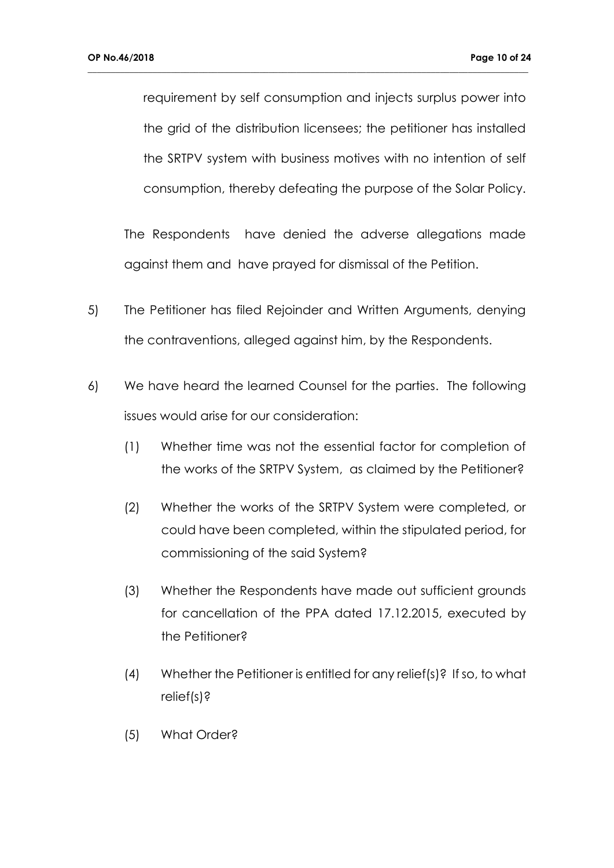requirement by self consumption and injects surplus power into the grid of the distribution licensees; the petitioner has installed the SRTPV system with business motives with no intention of self consumption, thereby defeating the purpose of the Solar Policy.

**\_\_\_\_\_\_\_\_\_\_\_\_\_\_\_\_\_\_\_\_\_\_\_\_\_\_\_\_\_\_\_\_\_\_\_\_\_\_\_\_\_\_\_\_\_\_\_\_\_\_\_\_\_\_\_\_\_\_\_\_\_\_\_\_\_\_\_\_\_\_\_\_\_\_\_\_\_\_\_\_\_\_\_\_\_\_\_\_\_\_\_\_\_\_\_**

The Respondents have denied the adverse allegations made against them and have prayed for dismissal of the Petition.

- 5) The Petitioner has filed Rejoinder and Written Arguments, denying the contraventions, alleged against him, by the Respondents.
- 6) We have heard the learned Counsel for the parties. The following issues would arise for our consideration:
	- (1) Whether time was not the essential factor for completion of the works of the SRTPV System, as claimed by the Petitioner?
	- (2) Whether the works of the SRTPV System were completed, or could have been completed, within the stipulated period, for commissioning of the said System?
	- (3) Whether the Respondents have made out sufficient grounds for cancellation of the PPA dated 17.12.2015, executed by the Petitioner?
	- (4) Whether the Petitioner is entitled for any relief(s)? If so, to what relief(s)?
	- (5) What Order?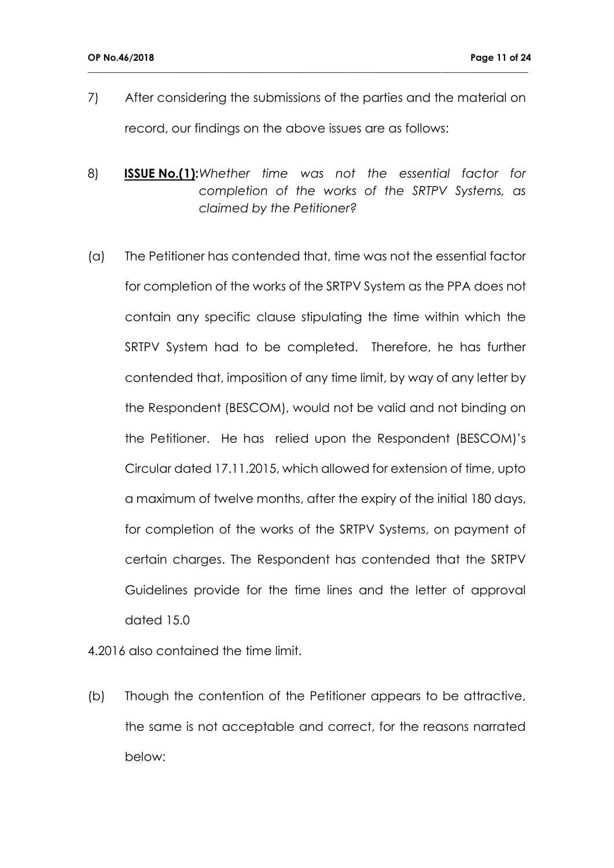7) After considering the submissions of the parties and the material on record, our findings on the above issues are as follows:

**\_\_\_\_\_\_\_\_\_\_\_\_\_\_\_\_\_\_\_\_\_\_\_\_\_\_\_\_\_\_\_\_\_\_\_\_\_\_\_\_\_\_\_\_\_\_\_\_\_\_\_\_\_\_\_\_\_\_\_\_\_\_\_\_\_\_\_\_\_\_\_\_\_\_\_\_\_\_\_\_\_\_\_\_\_\_\_\_\_\_\_\_\_\_\_**

- 8) **ISSUE No.(1):***Whether time was not the essential factor for completion of the works of the SRTPV Systems, as claimed by the Petitioner?*
- (a) The Petitioner has contended that, time was not the essential factor for completion of the works of the SRTPV System as the PPA does not contain any specific clause stipulating the time within which the SRTPV System had to be completed. Therefore, he has further contended that, imposition of any time limit, by way of any letter by the Respondent (BESCOM), would not be valid and not binding on the Petitioner. He has relied upon the Respondent (BESCOM)'s Circular dated 17.11.2015, which allowed for extension of time, upto a maximum of twelve months, after the expiry of the initial 180 days, for completion of the works of the SRTPV Systems, on payment of certain charges. The Respondent has contended that the SRTPV Guidelines provide for the time lines and the letter of approval dated 15.0

4.2016 also contained the time limit.

(b) Though the contention of the Petitioner appears to be attractive, the same is not acceptable and correct, for the reasons narrated below: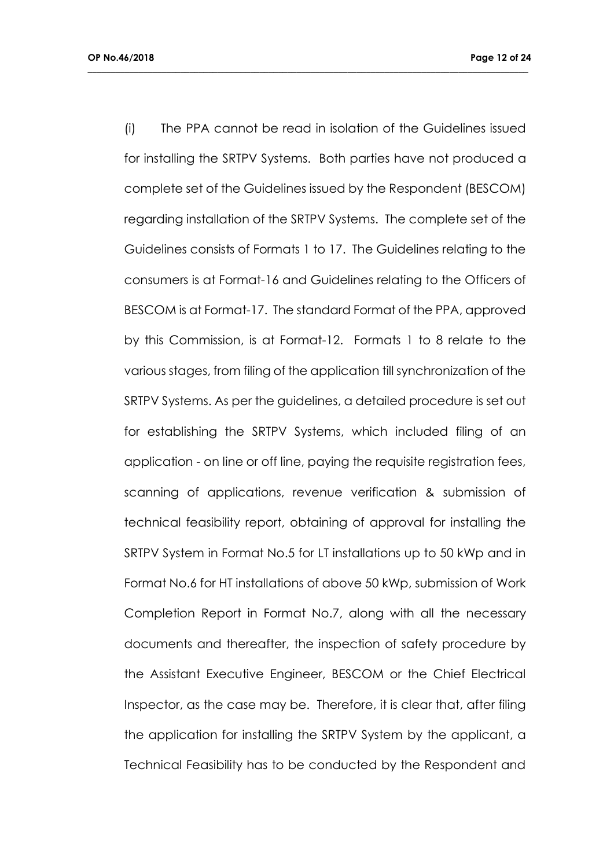(i) The PPA cannot be read in isolation of the Guidelines issued for installing the SRTPV Systems. Both parties have not produced a complete set of the Guidelines issued by the Respondent (BESCOM) regarding installation of the SRTPV Systems. The complete set of the Guidelines consists of Formats 1 to 17. The Guidelines relating to the consumers is at Format-16 and Guidelines relating to the Officers of BESCOM is at Format-17. The standard Format of the PPA, approved by this Commission, is at Format-12. Formats 1 to 8 relate to the various stages, from filing of the application till synchronization of the SRTPV Systems. As per the guidelines, a detailed procedure is set out for establishing the SRTPV Systems, which included filing of an application - on line or off line, paying the requisite registration fees, scanning of applications, revenue verification & submission of technical feasibility report, obtaining of approval for installing the SRTPV System in Format No.5 for LT installations up to 50 kWp and in Format No.6 for HT installations of above 50 kWp, submission of Work Completion Report in Format No.7, along with all the necessary documents and thereafter, the inspection of safety procedure by the Assistant Executive Engineer, BESCOM or the Chief Electrical Inspector, as the case may be. Therefore, it is clear that, after filing the application for installing the SRTPV System by the applicant, a Technical Feasibility has to be conducted by the Respondent and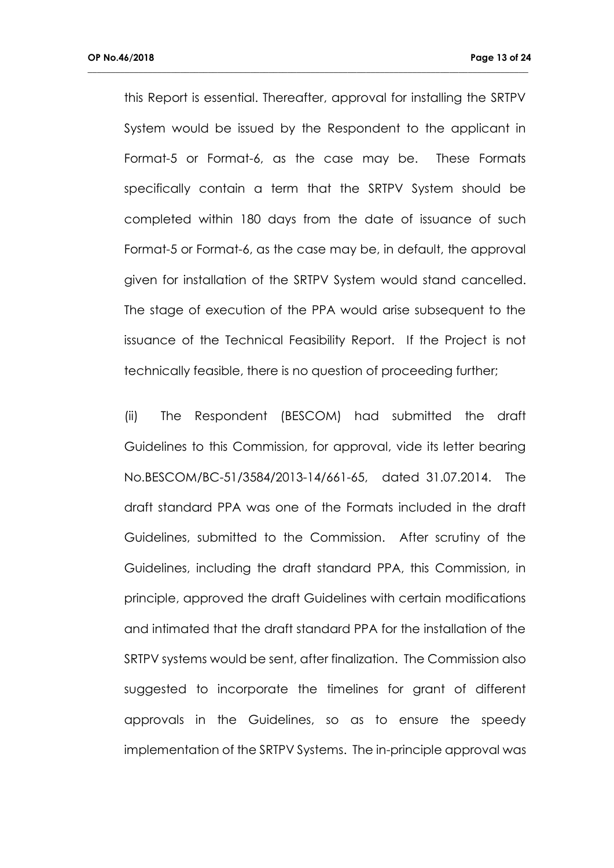this Report is essential. Thereafter, approval for installing the SRTPV System would be issued by the Respondent to the applicant in Format-5 or Format-6, as the case may be. These Formats specifically contain a term that the SRTPV System should be completed within 180 days from the date of issuance of such Format-5 or Format-6, as the case may be, in default, the approval given for installation of the SRTPV System would stand cancelled. The stage of execution of the PPA would arise subsequent to the issuance of the Technical Feasibility Report. If the Project is not technically feasible, there is no question of proceeding further;

**\_\_\_\_\_\_\_\_\_\_\_\_\_\_\_\_\_\_\_\_\_\_\_\_\_\_\_\_\_\_\_\_\_\_\_\_\_\_\_\_\_\_\_\_\_\_\_\_\_\_\_\_\_\_\_\_\_\_\_\_\_\_\_\_\_\_\_\_\_\_\_\_\_\_\_\_\_\_\_\_\_\_\_\_\_\_\_\_\_\_\_\_\_\_\_**

(ii) The Respondent (BESCOM) had submitted the draft Guidelines to this Commission, for approval, vide its letter bearing No.BESCOM/BC-51/3584/2013-14/661-65, dated 31.07.2014. The draft standard PPA was one of the Formats included in the draft Guidelines, submitted to the Commission. After scrutiny of the Guidelines, including the draft standard PPA, this Commission, in principle, approved the draft Guidelines with certain modifications and intimated that the draft standard PPA for the installation of the SRTPV systems would be sent, after finalization. The Commission also suggested to incorporate the timelines for grant of different approvals in the Guidelines, so as to ensure the speedy implementation of the SRTPV Systems. The in-principle approval was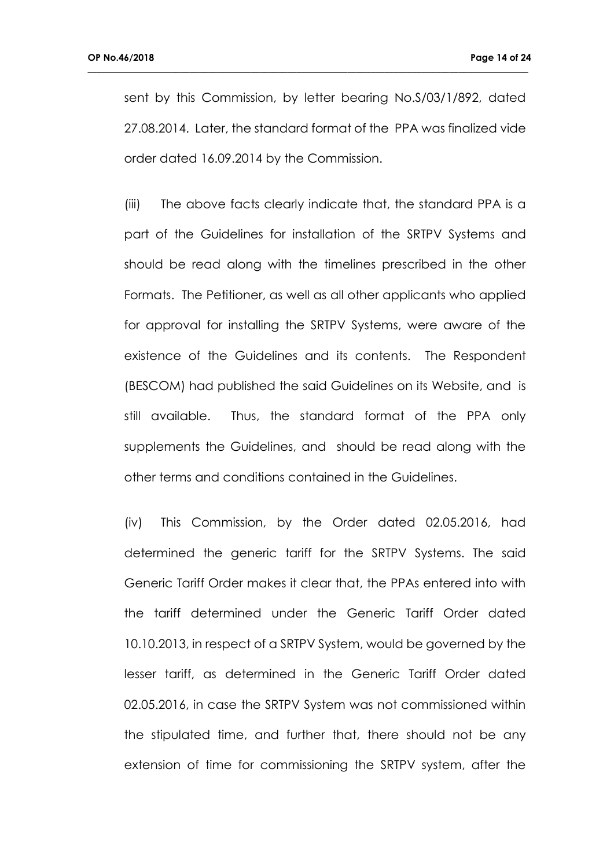sent by this Commission, by letter bearing No.S/03/1/892, dated 27.08.2014. Later, the standard format of the PPA was finalized vide order dated 16.09.2014 by the Commission.

**\_\_\_\_\_\_\_\_\_\_\_\_\_\_\_\_\_\_\_\_\_\_\_\_\_\_\_\_\_\_\_\_\_\_\_\_\_\_\_\_\_\_\_\_\_\_\_\_\_\_\_\_\_\_\_\_\_\_\_\_\_\_\_\_\_\_\_\_\_\_\_\_\_\_\_\_\_\_\_\_\_\_\_\_\_\_\_\_\_\_\_\_\_\_\_**

(iii) The above facts clearly indicate that, the standard PPA is a part of the Guidelines for installation of the SRTPV Systems and should be read along with the timelines prescribed in the other Formats. The Petitioner, as well as all other applicants who applied for approval for installing the SRTPV Systems, were aware of the existence of the Guidelines and its contents. The Respondent (BESCOM) had published the said Guidelines on its Website, and is still available. Thus, the standard format of the PPA only supplements the Guidelines, and should be read along with the other terms and conditions contained in the Guidelines.

(iv) This Commission, by the Order dated 02.05.2016, had determined the generic tariff for the SRTPV Systems. The said Generic Tariff Order makes it clear that, the PPAs entered into with the tariff determined under the Generic Tariff Order dated 10.10.2013, in respect of a SRTPV System, would be governed by the lesser tariff, as determined in the Generic Tariff Order dated 02.05.2016, in case the SRTPV System was not commissioned within the stipulated time, and further that, there should not be any extension of time for commissioning the SRTPV system, after the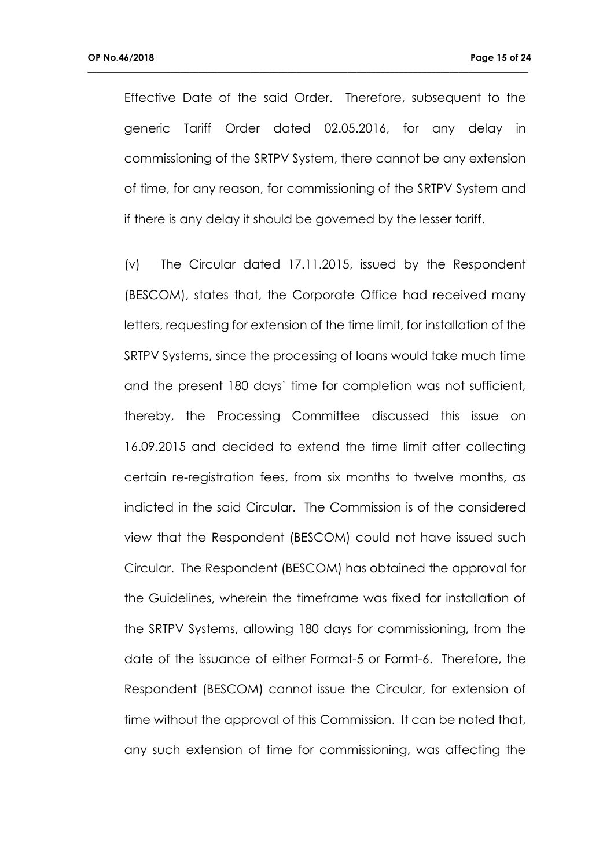Effective Date of the said Order. Therefore, subsequent to the generic Tariff Order dated 02.05.2016, for any delay in commissioning of the SRTPV System, there cannot be any extension of time, for any reason, for commissioning of the SRTPV System and if there is any delay it should be governed by the lesser tariff.

**\_\_\_\_\_\_\_\_\_\_\_\_\_\_\_\_\_\_\_\_\_\_\_\_\_\_\_\_\_\_\_\_\_\_\_\_\_\_\_\_\_\_\_\_\_\_\_\_\_\_\_\_\_\_\_\_\_\_\_\_\_\_\_\_\_\_\_\_\_\_\_\_\_\_\_\_\_\_\_\_\_\_\_\_\_\_\_\_\_\_\_\_\_\_\_**

(v) The Circular dated 17.11.2015, issued by the Respondent (BESCOM), states that, the Corporate Office had received many letters, requesting for extension of the time limit, for installation of the SRTPV Systems, since the processing of loans would take much time and the present 180 days' time for completion was not sufficient, thereby, the Processing Committee discussed this issue on 16.09.2015 and decided to extend the time limit after collecting certain re-registration fees, from six months to twelve months, as indicted in the said Circular. The Commission is of the considered view that the Respondent (BESCOM) could not have issued such Circular. The Respondent (BESCOM) has obtained the approval for the Guidelines, wherein the timeframe was fixed for installation of the SRTPV Systems, allowing 180 days for commissioning, from the date of the issuance of either Format-5 or Formt-6. Therefore, the Respondent (BESCOM) cannot issue the Circular, for extension of time without the approval of this Commission. It can be noted that, any such extension of time for commissioning, was affecting the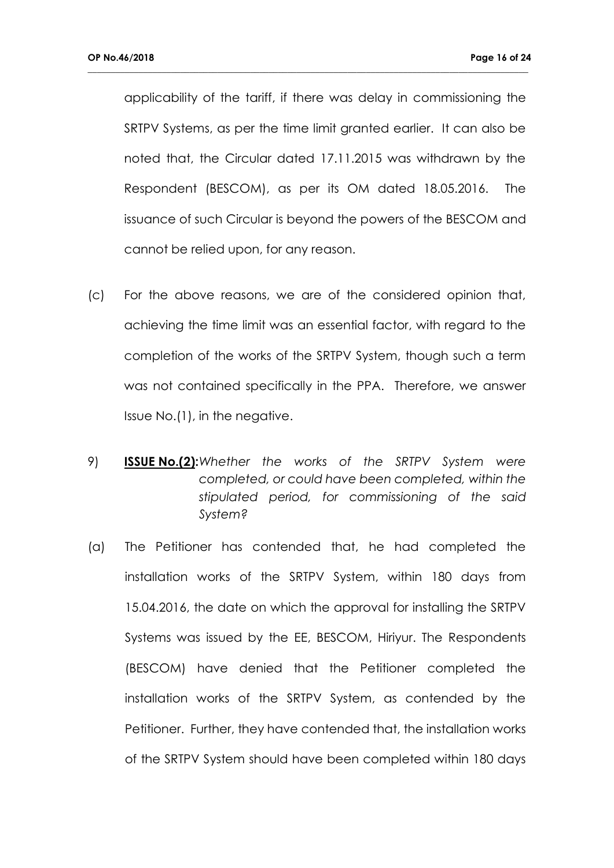applicability of the tariff, if there was delay in commissioning the SRTPV Systems, as per the time limit granted earlier. It can also be noted that, the Circular dated 17.11.2015 was withdrawn by the Respondent (BESCOM), as per its OM dated 18.05.2016. The issuance of such Circular is beyond the powers of the BESCOM and cannot be relied upon, for any reason.

- (c) For the above reasons, we are of the considered opinion that, achieving the time limit was an essential factor, with regard to the completion of the works of the SRTPV System, though such a term was not contained specifically in the PPA. Therefore, we answer Issue No.(1), in the negative.
- 9) **ISSUE No.(2):***Whether the works of the SRTPV System were completed, or could have been completed, within the stipulated period, for commissioning of the said System?*
- (a) The Petitioner has contended that, he had completed the installation works of the SRTPV System, within 180 days from 15.04.2016, the date on which the approval for installing the SRTPV Systems was issued by the EE, BESCOM, Hiriyur. The Respondents (BESCOM) have denied that the Petitioner completed the installation works of the SRTPV System, as contended by the Petitioner. Further, they have contended that, the installation works of the SRTPV System should have been completed within 180 days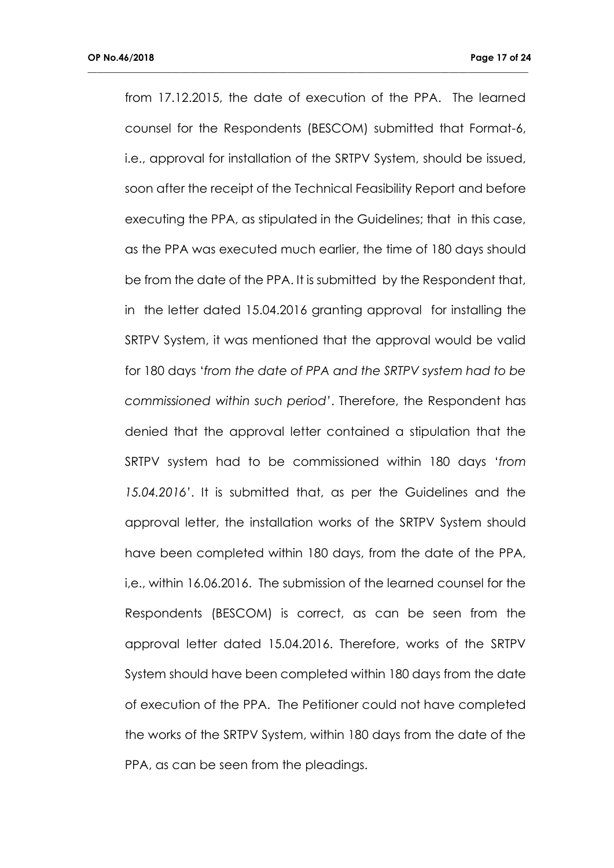from 17.12.2015, the date of execution of the PPA. The learned counsel for the Respondents (BESCOM) submitted that Format-6, i.e., approval for installation of the SRTPV System, should be issued, soon after the receipt of the Technical Feasibility Report and before executing the PPA, as stipulated in the Guidelines; that in this case, as the PPA was executed much earlier, the time of 180 days should be from the date of the PPA. It is submitted by the Respondent that, in the letter dated 15.04.2016 granting approval for installing the SRTPV System, it was mentioned that the approval would be valid for 180 days '*from the date of PPA and the SRTPV system had to be commissioned within such period'*. Therefore, the Respondent has denied that the approval letter contained a stipulation that the SRTPV system had to be commissioned within 180 days '*from 15.04.2016'*. It is submitted that, as per the Guidelines and the approval letter, the installation works of the SRTPV System should have been completed within 180 days, from the date of the PPA, i,e., within 16.06.2016. The submission of the learned counsel for the Respondents (BESCOM) is correct, as can be seen from the approval letter dated 15.04.2016. Therefore, works of the SRTPV System should have been completed within 180 days from the date of execution of the PPA. The Petitioner could not have completed the works of the SRTPV System, within 180 days from the date of the PPA, as can be seen from the pleadings.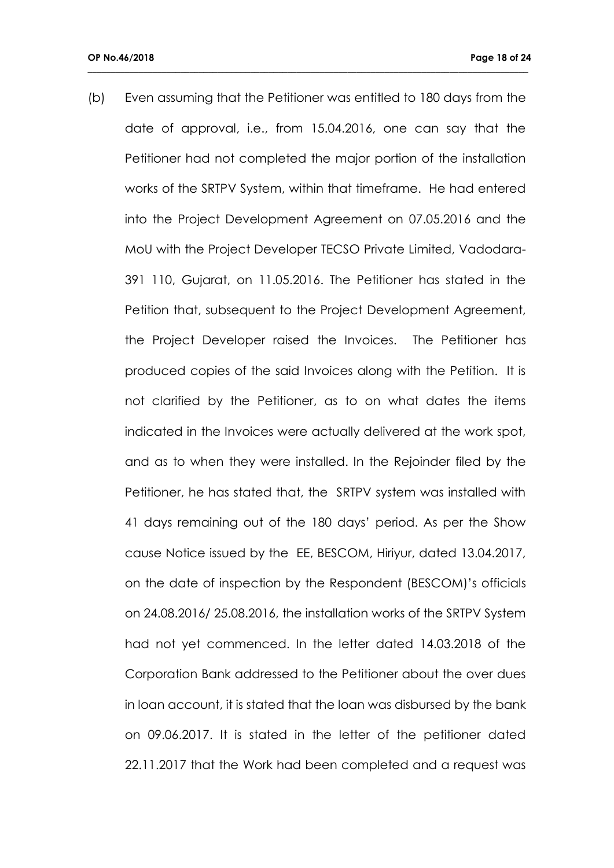(b) Even assuming that the Petitioner was entitled to 180 days from the date of approval, i.e., from 15.04.2016, one can say that the Petitioner had not completed the major portion of the installation works of the SRTPV System, within that timeframe. He had entered into the Project Development Agreement on 07.05.2016 and the MoU with the Project Developer TECSO Private Limited, Vadodara-391 110, Gujarat, on 11.05.2016. The Petitioner has stated in the Petition that, subsequent to the Project Development Agreement, the Project Developer raised the Invoices. The Petitioner has produced copies of the said Invoices along with the Petition. It is not clarified by the Petitioner, as to on what dates the items indicated in the Invoices were actually delivered at the work spot, and as to when they were installed. In the Rejoinder filed by the Petitioner, he has stated that, the SRTPV system was installed with 41 days remaining out of the 180 days' period. As per the Show cause Notice issued by the EE, BESCOM, Hiriyur, dated 13.04.2017, on the date of inspection by the Respondent (BESCOM)'s officials on 24.08.2016/ 25.08.2016, the installation works of the SRTPV System had not yet commenced. In the letter dated 14.03.2018 of the Corporation Bank addressed to the Petitioner about the over dues in loan account, it is stated that the loan was disbursed by the bank on 09.06.2017. It is stated in the letter of the petitioner dated 22.11.2017 that the Work had been completed and a request was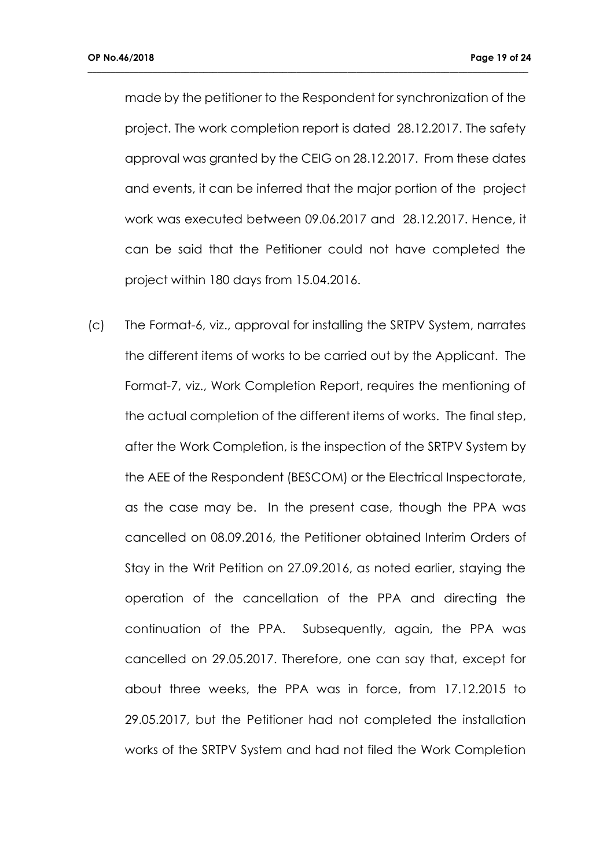made by the petitioner to the Respondent for synchronization of the project. The work completion report is dated 28.12.2017. The safety approval was granted by the CEIG on 28.12.2017. From these dates and events, it can be inferred that the major portion of the project work was executed between 09.06.2017 and 28.12.2017. Hence, it can be said that the Petitioner could not have completed the project within 180 days from 15.04.2016.

**\_\_\_\_\_\_\_\_\_\_\_\_\_\_\_\_\_\_\_\_\_\_\_\_\_\_\_\_\_\_\_\_\_\_\_\_\_\_\_\_\_\_\_\_\_\_\_\_\_\_\_\_\_\_\_\_\_\_\_\_\_\_\_\_\_\_\_\_\_\_\_\_\_\_\_\_\_\_\_\_\_\_\_\_\_\_\_\_\_\_\_\_\_\_\_**

(c) The Format-6, viz., approval for installing the SRTPV System, narrates the different items of works to be carried out by the Applicant. The Format-7, viz., Work Completion Report, requires the mentioning of the actual completion of the different items of works. The final step, after the Work Completion, is the inspection of the SRTPV System by the AEE of the Respondent (BESCOM) or the Electrical Inspectorate, as the case may be. In the present case, though the PPA was cancelled on 08.09.2016, the Petitioner obtained Interim Orders of Stay in the Writ Petition on 27.09.2016, as noted earlier, staying the operation of the cancellation of the PPA and directing the continuation of the PPA. Subsequently, again, the PPA was cancelled on 29.05.2017. Therefore, one can say that, except for about three weeks, the PPA was in force, from 17.12.2015 to 29.05.2017, but the Petitioner had not completed the installation works of the SRTPV System and had not filed the Work Completion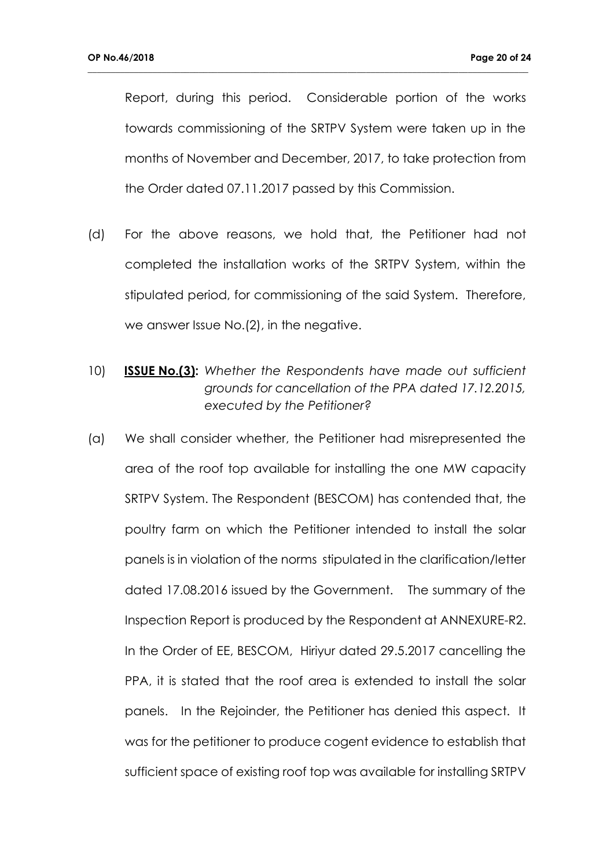Report, during this period. Considerable portion of the works towards commissioning of the SRTPV System were taken up in the months of November and December, 2017, to take protection from the Order dated 07.11.2017 passed by this Commission.

- (d) For the above reasons, we hold that, the Petitioner had not completed the installation works of the SRTPV System, within the stipulated period, for commissioning of the said System. Therefore, we answer Issue No.(2), in the negative.
- 10) **ISSUE No.(3):** *Whether the Respondents have made out sufficient grounds for cancellation of the PPA dated 17.12.2015, executed by the Petitioner?*
- (a) We shall consider whether, the Petitioner had misrepresented the area of the roof top available for installing the one MW capacity SRTPV System. The Respondent (BESCOM) has contended that, the poultry farm on which the Petitioner intended to install the solar panels is in violation of the norms stipulated in the clarification/letter dated 17.08.2016 issued by the Government. The summary of the Inspection Report is produced by the Respondent at ANNEXURE-R2. In the Order of EE, BESCOM, Hiriyur dated 29.5.2017 cancelling the PPA, it is stated that the roof area is extended to install the solar panels. In the Rejoinder, the Petitioner has denied this aspect. It was for the petitioner to produce cogent evidence to establish that sufficient space of existing roof top was available for installing SRTPV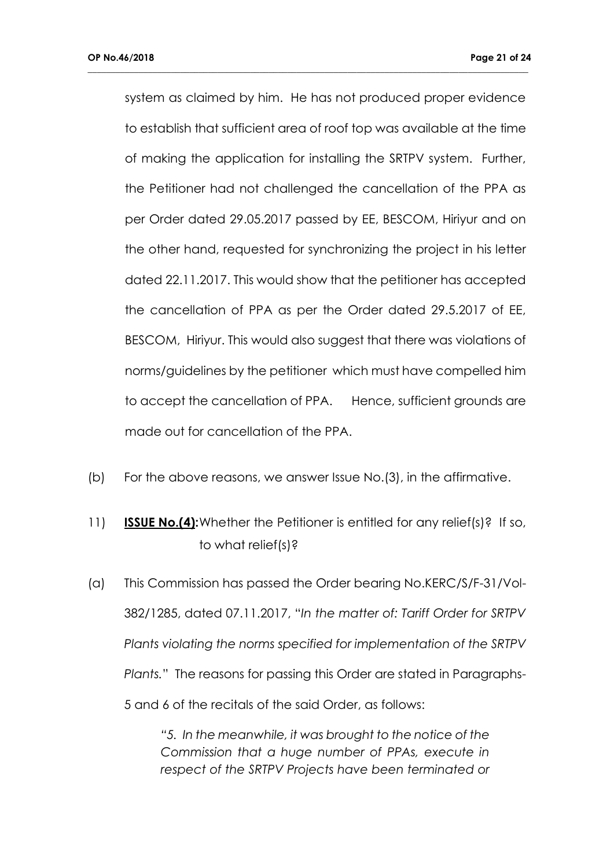system as claimed by him. He has not produced proper evidence to establish that sufficient area of roof top was available at the time of making the application for installing the SRTPV system. Further, the Petitioner had not challenged the cancellation of the PPA as per Order dated 29.05.2017 passed by EE, BESCOM, Hiriyur and on the other hand, requested for synchronizing the project in his letter dated 22.11.2017. This would show that the petitioner has accepted the cancellation of PPA as per the Order dated 29.5.2017 of EE, BESCOM, Hiriyur. This would also suggest that there was violations of norms/guidelines by the petitioner which must have compelled him to accept the cancellation of PPA. Hence, sufficient grounds are made out for cancellation of the PPA.

**\_\_\_\_\_\_\_\_\_\_\_\_\_\_\_\_\_\_\_\_\_\_\_\_\_\_\_\_\_\_\_\_\_\_\_\_\_\_\_\_\_\_\_\_\_\_\_\_\_\_\_\_\_\_\_\_\_\_\_\_\_\_\_\_\_\_\_\_\_\_\_\_\_\_\_\_\_\_\_\_\_\_\_\_\_\_\_\_\_\_\_\_\_\_\_**

- (b) For the above reasons, we answer Issue No.(3), in the affirmative.
- 11) **ISSUE No.(4):**Whether the Petitioner is entitled for any relief(s)? If so, to what relief(s)?
- (a) This Commission has passed the Order bearing No.KERC/S/F-31/Vol-382/1285, dated 07.11.2017, "*In the matter of: Tariff Order for SRTPV Plants violating the norms specified for implementation of the SRTPV Plants.*" The reasons for passing this Order are stated in Paragraphs-5 and 6 of the recitals of the said Order, as follows:

*"5. In the meanwhile, it was brought to the notice of the Commission that a huge number of PPAs, execute in respect of the SRTPV Projects have been terminated or*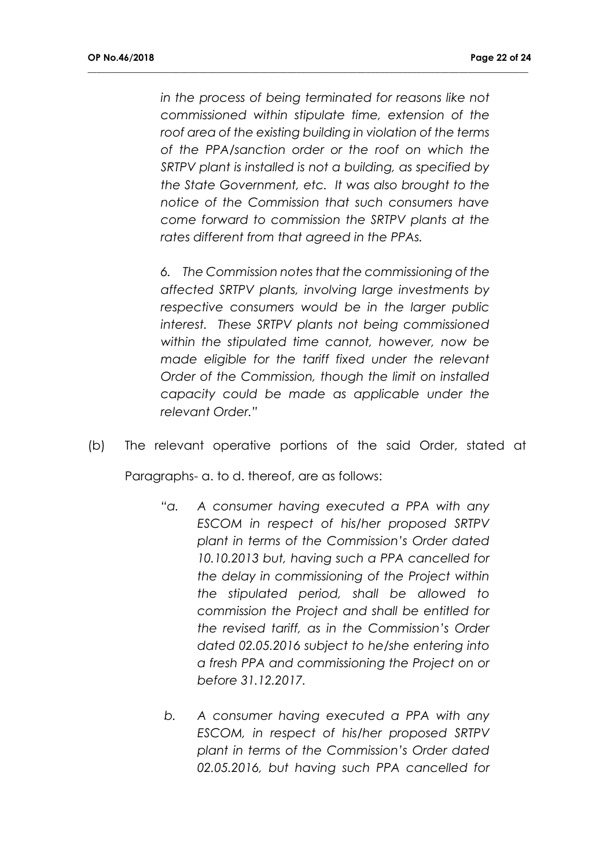*in the process of being terminated for reasons like not commissioned within stipulate time, extension of the roof area of the existing building in violation of the terms of the PPA/sanction order or the roof on which the SRTPV plant is installed is not a building, as specified by the State Government, etc. It was also brought to the notice of the Commission that such consumers have come forward to commission the SRTPV plants at the rates different from that agreed in the PPAs.*

**\_\_\_\_\_\_\_\_\_\_\_\_\_\_\_\_\_\_\_\_\_\_\_\_\_\_\_\_\_\_\_\_\_\_\_\_\_\_\_\_\_\_\_\_\_\_\_\_\_\_\_\_\_\_\_\_\_\_\_\_\_\_\_\_\_\_\_\_\_\_\_\_\_\_\_\_\_\_\_\_\_\_\_\_\_\_\_\_\_\_\_\_\_\_\_**

*6. The Commission notes that the commissioning of the affected SRTPV plants, involving large investments by respective consumers would be in the larger public interest. These SRTPV plants not being commissioned within the stipulated time cannot, however, now be made eligible for the tariff fixed under the relevant Order of the Commission, though the limit on installed capacity could be made as applicable under the relevant Order."*

(b) The relevant operative portions of the said Order, stated at

Paragraphs- a. to d. thereof, are as follows:

- *"a. A consumer having executed a PPA with any ESCOM in respect of his/her proposed SRTPV plant in terms of the Commission's Order dated 10.10.2013 but, having such a PPA cancelled for the delay in commissioning of the Project within the stipulated period, shall be allowed to commission the Project and shall be entitled for the revised tariff, as in the Commission's Order dated 02.05.2016 subject to he/she entering into a fresh PPA and commissioning the Project on or before 31.12.2017.*
- *b. A consumer having executed a PPA with any ESCOM, in respect of his/her proposed SRTPV plant in terms of the Commission's Order dated 02.05.2016, but having such PPA cancelled for*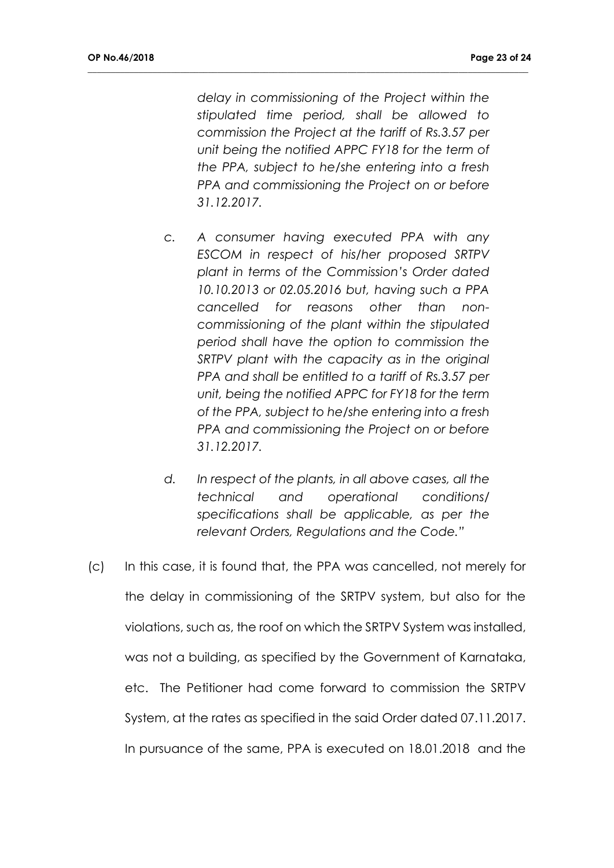*delay in commissioning of the Project within the stipulated time period, shall be allowed to commission the Project at the tariff of Rs.3.57 per unit being the notified APPC FY18 for the term of the PPA, subject to he/she entering into a fresh PPA and commissioning the Project on or before 31.12.2017.*

- *c. A consumer having executed PPA with any ESCOM in respect of his/her proposed SRTPV plant in terms of the Commission's Order dated 10.10.2013 or 02.05.2016 but, having such a PPA cancelled for reasons other than noncommissioning of the plant within the stipulated period shall have the option to commission the SRTPV plant with the capacity as in the original PPA and shall be entitled to a tariff of Rs.3.57 per unit, being the notified APPC for FY18 for the term of the PPA, subject to he/she entering into a fresh PPA and commissioning the Project on or before 31.12.2017.*
- *d. In respect of the plants, in all above cases, all the technical and operational conditions/ specifications shall be applicable, as per the relevant Orders, Regulations and the Code."*
- (c) In this case, it is found that, the PPA was cancelled, not merely for the delay in commissioning of the SRTPV system, but also for the violations, such as, the roof on which the SRTPV System was installed, was not a building, as specified by the Government of Karnataka, etc. The Petitioner had come forward to commission the SRTPV System, at the rates as specified in the said Order dated 07.11.2017. In pursuance of the same, PPA is executed on 18.01.2018 and the